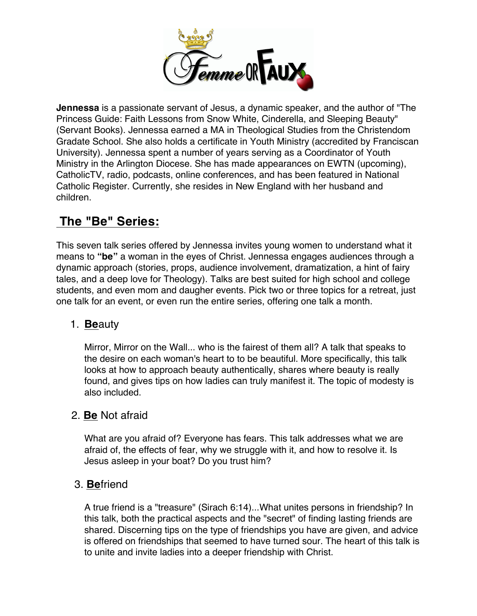

**Jennessa** is a passionate servant of Jesus, a dynamic speaker, and the author of "The Princess Guide: Faith Lessons from Snow White, Cinderella, and Sleeping Beauty" (Servant Books). Jennessa earned a MA in Theological Studies from the Christendom Gradate School. She also holds a certificate in Youth Ministry (accredited by Franciscan University). Jennessa spent a number of years serving as a Coordinator of Youth Ministry in the Arlington Diocese. She has made appearances on EWTN (upcoming), CatholicTV, radio, podcasts, online conferences, and has been featured in National Catholic Register. Currently, she resides in New England with her husband and children.

# **The "Be" Series:**

This seven talk series offered by Jennessa invites young women to understand what it means to **"be"** a woman in the eyes of Christ. Jennessa engages audiences through a dynamic approach (stories, props, audience involvement, dramatization, a hint of fairy tales, and a deep love for Theology). Talks are best suited for high school and college students, and even mom and daugher events. Pick two or three topics for a retreat, just one talk for an event, or even run the entire series, offering one talk a month.

# 1. **Be**auty

Mirror, Mirror on the Wall... who is the fairest of them all? A talk that speaks to the desire on each woman's heart to to be beautiful. More specifically, this talk looks at how to approach beauty authentically, shares where beauty is really found, and gives tips on how ladies can truly manifest it. The topic of modesty is also included.

# 2. **Be** Not afraid

What are you afraid of? Everyone has fears. This talk addresses what we are afraid of, the effects of fear, why we struggle with it, and how to resolve it. Is Jesus asleep in your boat? Do you trust him?

# 3. **Be**friend

A true friend is a "treasure" (Sirach 6:14)...What unites persons in friendship? In this talk, both the practical aspects and the "secret" of finding lasting friends are shared. Discerning tips on the type of friendships you have are given, and advice is offered on friendships that seemed to have turned sour. The heart of this talk is to unite and invite ladies into a deeper friendship with Christ.